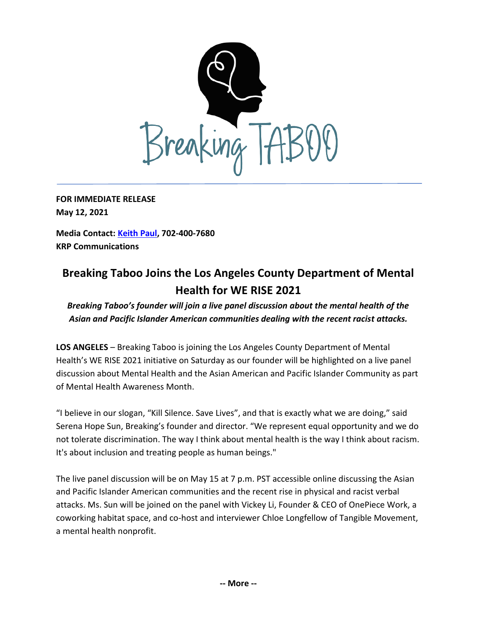

**FOR IMMEDIATE RELEASE May 12, 2021**

**Media Contact: [Keith Paul,](mailto:keithrpaul@outlook.com) 702-400-7680 KRP Communications**

## **Breaking Taboo Joins the Los Angeles County Department of Mental Health for WE RISE 2021**

*Breaking Taboo's founder will join a live panel discussion about the mental health of the Asian and Pacific Islander American communities dealing with the recent racist attacks.*

**LOS ANGELES** – Breaking Taboo is joining the Los Angeles County Department of Mental Health's WE RISE 2021 initiative on Saturday as our founder will be highlighted on a live panel discussion about Mental Health and the Asian American and Pacific Islander Community as part of Mental Health Awareness Month.

"I believe in our slogan, "Kill Silence. Save Lives", and that is exactly what we are doing," said Serena Hope Sun, Breaking's founder and director. "We represent equal opportunity and we do not tolerate discrimination. The way I think about mental health is the way I think about racism. It's about inclusion and treating people as human beings."

The live panel discussion will be on May 15 at 7 p.m. PST accessible online discussing the Asian and Pacific Islander American communities and the recent rise in physical and racist verbal attacks. Ms. Sun will be joined on the panel with Vickey Li, Founder & CEO of OnePiece Work, a coworking habitat space, and co-host and interviewer Chloe Longfellow of Tangible Movement, a mental health nonprofit.